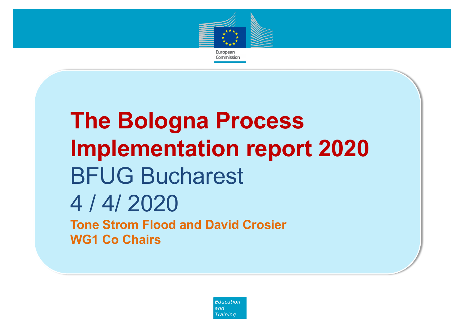

# **The Bologna Process Implementation report 2020** BFUG Bucharest 4 / 4/ 2020 **Tone Strom Flood and David Crosier WG1 Co Chairs**

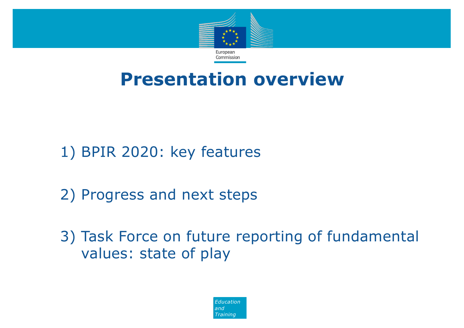

#### **Presentation overview**

1) BPIR 2020: key features

2) Progress and next steps

3) Task Force on future reporting of fundamental values: state of play

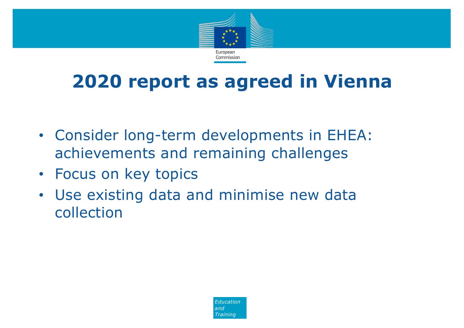

## **2020 report as agreed in Vienna**

- Consider long-term developments in EHEA: achievements and remaining challenges
- Focus on key topics
- Use existing data and minimise new data collection

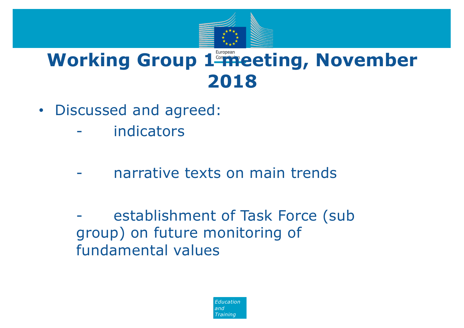

#### **Working Group 1 meeting, November 2018**

- Discussed and agreed:
	- indicators
	- narrative texts on main trends

establishment of Task Force (sub group) on future monitoring of fundamental values

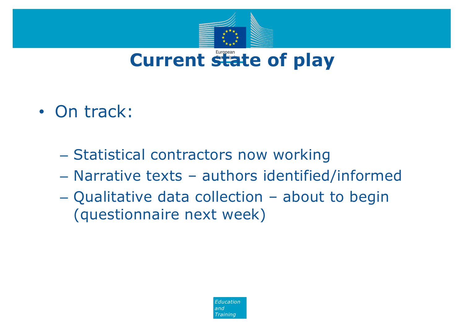

- On track:
	- Statistical contractors now working
	- Narrative texts authors identified/informed
	- Qualitative data collection about to begin (questionnaire next week)

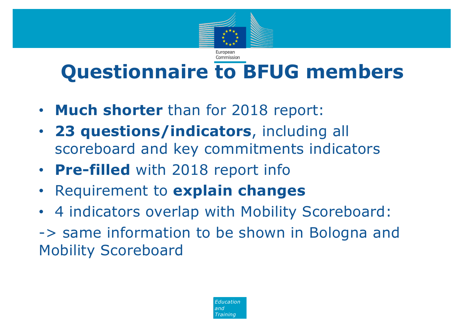

# **Questionnaire to BFUG members**

- **Much shorter** than for 2018 report:
- **23 questions/indicators**, including all scoreboard and key commitments indicators
- **Pre-filled** with 2018 report info
- Requirement to **explain changes**
- 4 indicators overlap with Mobility Scoreboard:
- -> same information to be shown in Bologna and Mobility Scoreboard

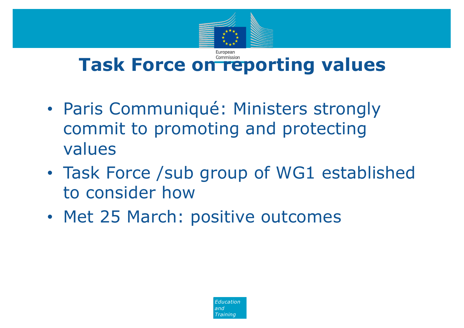

## **Task Force on reporting values**

- Paris Communiqué: Ministers strongly commit to promoting and protecting values
- Task Force /sub group of WG1 established to consider how
- Met 25 March: positive outcomes